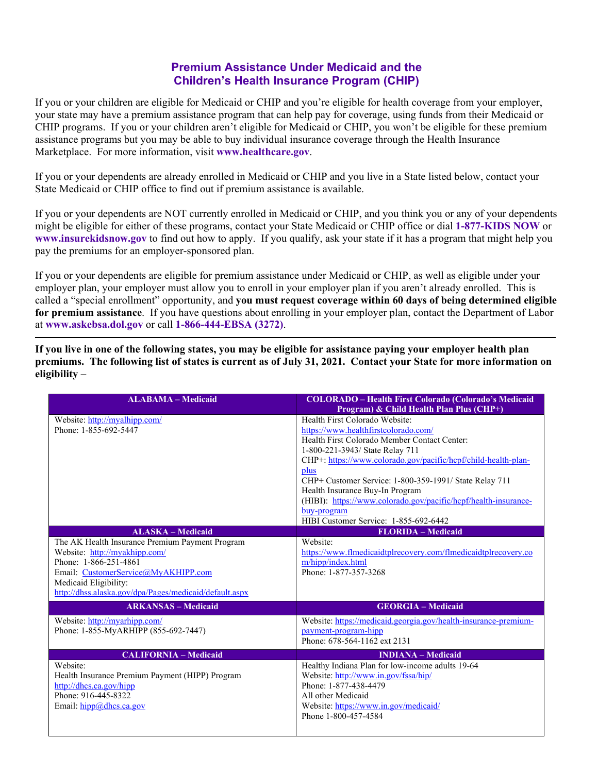## **Premium Assistance Under Medicaid and the Children's Health Insurance Program (CHIP)**

If you or your children are eligible for Medicaid or CHIP and you're eligible for health coverage from your employer, your state may have a premium assistance program that can help pay for coverage, using funds from their Medicaid or CHIP programs. If you or your children aren't eligible for Medicaid or CHIP, you won't be eligible for these premium assistance programs but you may be able to buy individual insurance coverage through the Health Insurance Marketplace. For more information, visit **www.healthcare.gov**.

If you or your dependents are already enrolled in Medicaid or CHIP and you live in a State listed below, contact your State Medicaid or CHIP office to find out if premium assistance is available.

If you or your dependents are NOT currently enrolled in Medicaid or CHIP, and you think you or any of your dependents might be eligible for either of these programs, contact your State Medicaid or CHIP office or dial **1-877-KIDS NOW** or **www.insurekidsnow.gov** to find out how to apply. If you qualify, ask your state if it has a program that might help you pay the premiums for an employer-sponsored plan.

If you or your dependents are eligible for premium assistance under Medicaid or CHIP, as well as eligible under your employer plan, your employer must allow you to enroll in your employer plan if you aren't already enrolled. This is called a "special enrollment" opportunity, and **you must request coverage within 60 days of being determined eligible for premium assistance**. If you have questions about enrolling in your employer plan, contact the Department of Labor at **www.askebsa.dol.gov** or call **1-866-444-EBSA (3272)**.

**If you live in one of the following states, you may be eligible for assistance paying your employer health plan premiums. The following list of states is current as of July 31, 2021. Contact your State for more information on eligibility –** 

| <b>ALABAMA - Medicaid</b>                              | <b>COLORADO - Health First Colorado (Colorado's Medicaid</b><br>Program) & Child Health Plan Plus (CHP+) |
|--------------------------------------------------------|----------------------------------------------------------------------------------------------------------|
| Website: http://myalhipp.com/<br>Phone: 1-855-692-5447 | Health First Colorado Website:<br>https://www.healthfirstcolorado.com/                                   |
|                                                        | Health First Colorado Member Contact Center:                                                             |
|                                                        | 1-800-221-3943/ State Relay 711                                                                          |
|                                                        | CHP+: https://www.colorado.gov/pacific/hcpf/child-health-plan-                                           |
|                                                        | plus                                                                                                     |
|                                                        | CHP+ Customer Service: 1-800-359-1991/ State Relay 711                                                   |
|                                                        | Health Insurance Buy-In Program                                                                          |
|                                                        | (HIBI): https://www.colorado.gov/pacific/hcpf/health-insurance-                                          |
|                                                        | buy-program<br>HIBI Customer Service: 1-855-692-6442                                                     |
| <b>ALASKA - Medicaid</b>                               | <b>FLORIDA - Medicaid</b>                                                                                |
| The AK Health Insurance Premium Payment Program        | Website:                                                                                                 |
| Website: http://myakhipp.com/                          | https://www.flmedicaidtplrecovery.com/flmedicaidtplrecovery.co                                           |
| Phone: 1-866-251-4861                                  | m/hipp/index.html                                                                                        |
| Email: CustomerService@MyAKHIPP.com                    | Phone: 1-877-357-3268                                                                                    |
| Medicaid Eligibility:                                  |                                                                                                          |
| http://dhss.alaska.gov/dpa/Pages/medicaid/default.aspx |                                                                                                          |
| <b>ARKANSAS - Medicaid</b>                             | <b>GEORGIA - Medicaid</b>                                                                                |
| Website: http://myarhipp.com/                          | Website: https://medicaid.georgia.gov/health-insurance-premium-                                          |
| Phone: 1-855-MyARHIPP (855-692-7447)                   | payment-program-hipp                                                                                     |
|                                                        | Phone: 678-564-1162 ext 2131                                                                             |
| <b>CALIFORNIA - Medicaid</b>                           | <b>INDIANA - Medicaid</b>                                                                                |
| Website:                                               | Healthy Indiana Plan for low-income adults 19-64                                                         |
| Health Insurance Premium Payment (HIPP) Program        | Website: http://www.in.gov/fssa/hip/                                                                     |
| http://dhcs.ca.gov/hipp                                | Phone: 1-877-438-4479                                                                                    |
| Phone: 916-445-8322                                    | All other Medicaid                                                                                       |
| Email: $hipp@dhes.ca.gov$                              | Website: https://www.in.gov/medicaid/                                                                    |
|                                                        | Phone 1-800-457-4584                                                                                     |
|                                                        |                                                                                                          |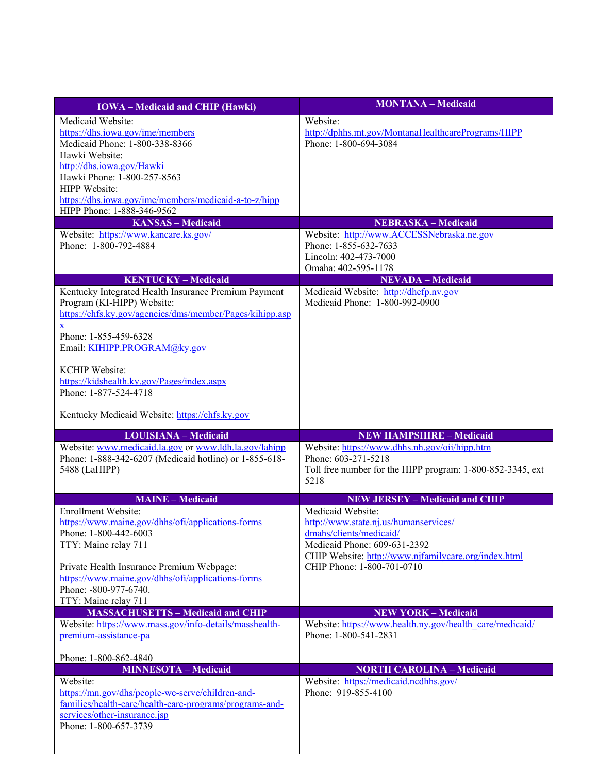| <b>IOWA</b> – Medicaid and CHIP (Hawki)                                                            | <b>MONTANA</b> - Medicaid                                                              |
|----------------------------------------------------------------------------------------------------|----------------------------------------------------------------------------------------|
| Medicaid Website:                                                                                  | Website:                                                                               |
| https://dhs.iowa.gov/ime/members                                                                   | http://dphhs.mt.gov/MontanaHealthcarePrograms/HIPP                                     |
| Medicaid Phone: 1-800-338-8366                                                                     | Phone: 1-800-694-3084                                                                  |
| Hawki Website:<br>http://dhs.iowa.gov/Hawki                                                        |                                                                                        |
| Hawki Phone: 1-800-257-8563                                                                        |                                                                                        |
| HIPP Website:                                                                                      |                                                                                        |
| https://dhs.iowa.gov/ime/members/medicaid-a-to-z/hipp                                              |                                                                                        |
| HIPP Phone: 1-888-346-9562                                                                         |                                                                                        |
| <b>KANSAS</b> - Medicaid<br>Website: https://www.kancare.ks.gov/                                   | <b>NEBRASKA - Medicaid</b><br>Website: http://www.ACCESSNebraska.ne.gov                |
| Phone: 1-800-792-4884                                                                              | Phone: 1-855-632-7633                                                                  |
|                                                                                                    | Lincoln: 402-473-7000                                                                  |
|                                                                                                    | Omaha: 402-595-1178                                                                    |
| <b>KENTUCKY-Medicaid</b>                                                                           | <b>NEVADA</b> - Medicaid                                                               |
| Kentucky Integrated Health Insurance Premium Payment<br>Program (KI-HIPP) Website:                 | Medicaid Website: http://dhcfp.nv.gov<br>Medicaid Phone: 1-800-992-0900                |
| https://chfs.ky.gov/agencies/dms/member/Pages/kihipp.asp                                           |                                                                                        |
| $\mathbf x$                                                                                        |                                                                                        |
| Phone: 1-855-459-6328                                                                              |                                                                                        |
| Email: KIHIPP.PROGRAM@ky.gov                                                                       |                                                                                        |
| <b>KCHIP</b> Website:                                                                              |                                                                                        |
| https://kidshealth.ky.gov/Pages/index.aspx                                                         |                                                                                        |
| Phone: 1-877-524-4718                                                                              |                                                                                        |
|                                                                                                    |                                                                                        |
| Kentucky Medicaid Website: https://chfs.ky.gov                                                     |                                                                                        |
| <b>LOUISIANA - Medicaid</b>                                                                        | <b>NEW HAMPSHIRE - Medicaid</b>                                                        |
| Website: www.medicaid.la.gov or www.ldh.la.gov/lahipp                                              | Website: https://www.dhhs.nh.gov/oii/hipp.htm                                          |
| Phone: 1-888-342-6207 (Medicaid hotline) or 1-855-618-<br>5488 (LaHIPP)                            | Phone: 603-271-5218<br>Toll free number for the HIPP program: 1-800-852-3345, ext      |
|                                                                                                    | 5218                                                                                   |
| <b>MAINE - Medicaid</b>                                                                            | <b>NEW JERSEY - Medicaid and CHIP</b>                                                  |
| Enrollment Website:                                                                                | Medicaid Website:                                                                      |
| https://www.maine.gov/dhhs/ofi/applications-forms                                                  | http://www.state.nj.us/humanservices/                                                  |
| Phone: 1-800-442-6003                                                                              | dmahs/clients/medicaid/                                                                |
| TTY: Maine relay 711                                                                               | Medicaid Phone: 609-631-2392                                                           |
| Private Health Insurance Premium Webpage:                                                          | CHIP Website: http://www.njfamilycare.org/index.html<br>CHIP Phone: 1-800-701-0710     |
| https://www.maine.gov/dhhs/ofi/applications-forms                                                  |                                                                                        |
| Phone: -800-977-6740.                                                                              |                                                                                        |
| TTY: Maine relay 711                                                                               |                                                                                        |
| <b>MASSACHUSETTS - Medicaid and CHIP</b><br>Website: https://www.mass.gov/info-details/masshealth- | <b>NEW YORK - Medicaid</b><br>Website: https://www.health.ny.gov/health care/medicaid/ |
| premium-assistance-pa                                                                              | Phone: 1-800-541-2831                                                                  |
|                                                                                                    |                                                                                        |
| Phone: 1-800-862-4840                                                                              |                                                                                        |
| <b>MINNESOTA - Medicaid</b>                                                                        | <b>NORTH CAROLINA - Medicaid</b>                                                       |
| Website:<br>https://mn.gov/dhs/people-we-serve/children-and-                                       | Website: https://medicaid.ncdhhs.gov/<br>Phone: 919-855-4100                           |
| families/health-care/health-care-programs/programs-and-                                            |                                                                                        |
| services/other-insurance.jsp                                                                       |                                                                                        |
| Phone: 1-800-657-3739                                                                              |                                                                                        |
|                                                                                                    |                                                                                        |